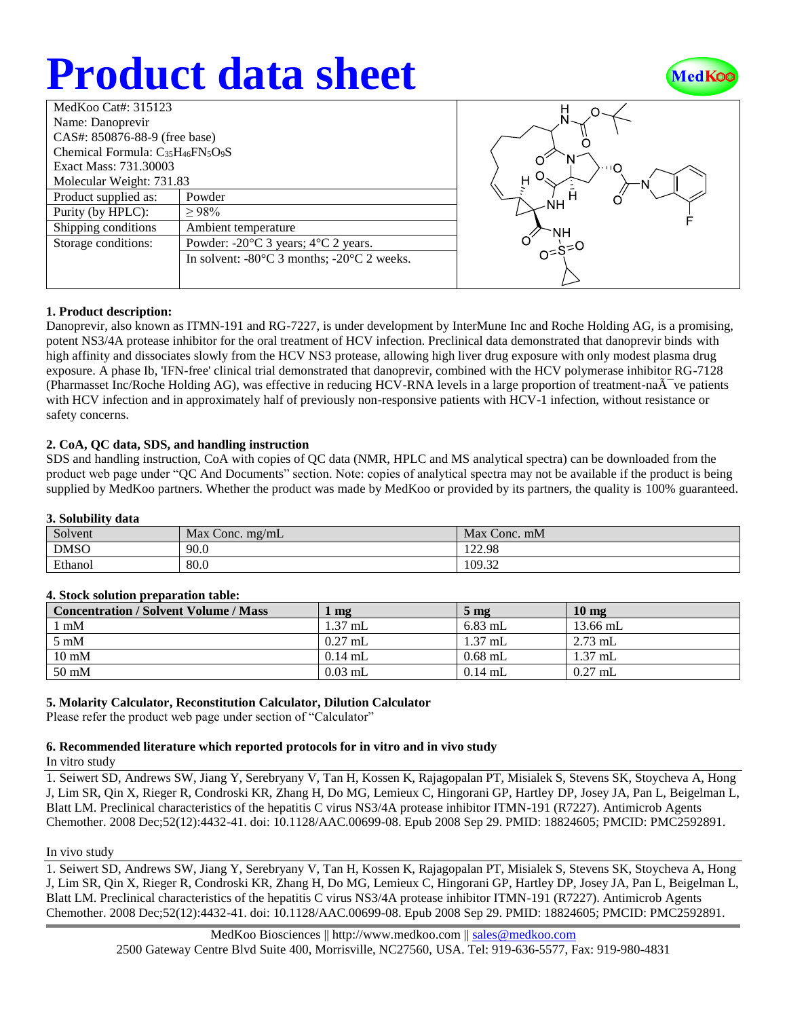# **Product data sheet**



| MedKoo Cat#: 315123                                                                |                                                                |  |  |  |
|------------------------------------------------------------------------------------|----------------------------------------------------------------|--|--|--|
| Name: Danoprevir                                                                   |                                                                |  |  |  |
| CAS#: 850876-88-9 (free base)                                                      |                                                                |  |  |  |
| Chemical Formula: C <sub>35</sub> H <sub>46</sub> FN <sub>5</sub> O <sub>9</sub> S |                                                                |  |  |  |
| Exact Mass: 731.30003                                                              |                                                                |  |  |  |
| Molecular Weight: 731.83                                                           |                                                                |  |  |  |
| Product supplied as:                                                               | Powder                                                         |  |  |  |
| Purity (by HPLC):                                                                  | >98%                                                           |  |  |  |
| Shipping conditions                                                                | Ambient temperature                                            |  |  |  |
| Storage conditions:                                                                | Powder: $-20^{\circ}$ C 3 years; $4^{\circ}$ C 2 years.        |  |  |  |
|                                                                                    | In solvent: $-80^{\circ}$ C 3 months; $-20^{\circ}$ C 2 weeks. |  |  |  |
|                                                                                    |                                                                |  |  |  |
|                                                                                    |                                                                |  |  |  |



# **1. Product description:**

Danoprevir, also known as ITMN-191 and RG-7227, is under development by InterMune Inc and Roche Holding AG, is a promising, potent NS3/4A protease inhibitor for the oral treatment of HCV infection. Preclinical data demonstrated that danoprevir binds with high affinity and dissociates slowly from the HCV NS3 protease, allowing high liver drug exposure with only modest plasma drug exposure. A phase Ib, 'IFN-free' clinical trial demonstrated that danoprevir, combined with the HCV polymerase inhibitor RG-7128 (Pharmasset Inc/Roche Holding AG), was effective in reducing HCV-RNA levels in a large proportion of treatment-na $\tilde{A}^-$  ve patients with HCV infection and in approximately half of previously non-responsive patients with HCV-1 infection, without resistance or safety concerns.

# **2. CoA, QC data, SDS, and handling instruction**

SDS and handling instruction, CoA with copies of QC data (NMR, HPLC and MS analytical spectra) can be downloaded from the product web page under "QC And Documents" section. Note: copies of analytical spectra may not be available if the product is being supplied by MedKoo partners. Whether the product was made by MedKoo or provided by its partners, the quality is 100% guaranteed.

# **3. Solubility data**

| <u>v</u> , pondonity udta |                   |                 |  |  |
|---------------------------|-------------------|-----------------|--|--|
| Solvent                   | Max Conc. $me/mL$ | Max<br>Conc. mM |  |  |
| <b>DMSO</b>               | 90.0              | 122.98          |  |  |
| Ethanol                   | 80.0              | 109.32          |  |  |

# **4. Stock solution preparation table:**

| <b>Concentration / Solvent Volume / Mass</b> | mg        | 5 <sub>mg</sub> | $10 \text{ mg}$ |
|----------------------------------------------|-----------|-----------------|-----------------|
| $\mathbf{m}$ M                               | $1.37$ mL | $6.83$ mL       | 13.66 mL        |
| $5 \text{ mM}$                               | $0.27$ mL | $1.37$ mL       | $2.73$ mL       |
| $10 \text{ mM}$                              | $0.14$ mL | $0.68$ mL       | $1.37$ mL       |
| $50 \text{ mM}$                              | $0.03$ mL | $0.14$ mL       | $0.27$ mL       |

# **5. Molarity Calculator, Reconstitution Calculator, Dilution Calculator**

Please refer the product web page under section of "Calculator"

# **6. Recommended literature which reported protocols for in vitro and in vivo study**

In vitro study

1. Seiwert SD, Andrews SW, Jiang Y, Serebryany V, Tan H, Kossen K, Rajagopalan PT, Misialek S, Stevens SK, Stoycheva A, Hong J, Lim SR, Qin X, Rieger R, Condroski KR, Zhang H, Do MG, Lemieux C, Hingorani GP, Hartley DP, Josey JA, Pan L, Beigelman L, Blatt LM. Preclinical characteristics of the hepatitis C virus NS3/4A protease inhibitor ITMN-191 (R7227). Antimicrob Agents Chemother. 2008 Dec;52(12):4432-41. doi: 10.1128/AAC.00699-08. Epub 2008 Sep 29. PMID: 18824605; PMCID: PMC2592891.

#### In vivo study

1. Seiwert SD, Andrews SW, Jiang Y, Serebryany V, Tan H, Kossen K, Rajagopalan PT, Misialek S, Stevens SK, Stoycheva A, Hong J, Lim SR, Qin X, Rieger R, Condroski KR, Zhang H, Do MG, Lemieux C, Hingorani GP, Hartley DP, Josey JA, Pan L, Beigelman L, Blatt LM. Preclinical characteristics of the hepatitis C virus NS3/4A protease inhibitor ITMN-191 (R7227). Antimicrob Agents Chemother. 2008 Dec;52(12):4432-41. doi: 10.1128/AAC.00699-08. Epub 2008 Sep 29. PMID: 18824605; PMCID: PMC2592891.